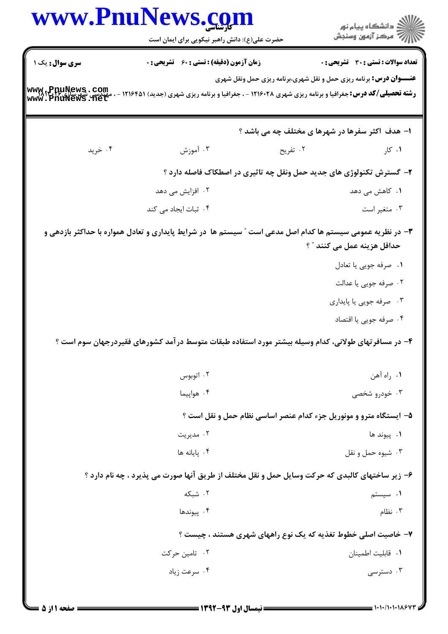|                        | www.PnuNews.com<br>حضرت علی(ع): دانش راهبر نیکویی برای ایمان است | ڪ دانشڪاه پيام نور<br> 7- مرڪز آزمون وسنڊش                                                                                                                                                 |
|------------------------|------------------------------------------------------------------|--------------------------------------------------------------------------------------------------------------------------------------------------------------------------------------------|
| <b>سری سوال :</b> یک ۱ | <b>زمان آزمون (دقیقه) : تستی : 60 ٪ تشریحی : 0</b>               | تعداد سوالات : تستي : 30 ٪ تشريحي : 0                                                                                                                                                      |
| www.PnuNews.com        |                                                                  | <b>عنـــوان درس:</b> برنامه ریزی حمل و نقل شهری،برنامه ریزی حمل ونقل شهری<br><b>رشته تحصیلی/کد درس:</b> جغرافیا و برنامه ریزی شهری ۱۲۱۶۰۲۸ - ، جغرافیا و برنامه ریزی شهری (جدید) ۱۲۱۶۴۵۱ - |
|                        |                                                                  | ۱- هدف اکثر سفرها در شهرها ی مختلف چه می باشد ؟                                                                                                                                            |
| ۰۴ خرید                | ۰۳ آموزش                                                         | ۰۱ کار<br>۰۲ تفریح                                                                                                                                                                         |
|                        |                                                                  | ۲- گسترش تکنولوژی های جدید حمل ونقل چه تاثیری در اصطکاک فاصله دارد ؟                                                                                                                       |
|                        | ۰۲ افزایش می دهد                                                 | ۰۱ کاهش می دهد                                                                                                                                                                             |
|                        | ۰۴ ثبات ایجاد می کند                                             | ۰۳ متغیر است                                                                                                                                                                               |
|                        |                                                                  | ۳- در نظریه عمومی سیستم ها کدام اصل مدعی است ″ سیستم ها در شرایط پایداری و تعادل همواره با حداکثر بازدهی و<br>حداقل هزينه عمل مي كنند ″ ؟                                                  |
|                        |                                                                  | ٠١ صرفه جويي يا تعادل                                                                                                                                                                      |
|                        |                                                                  | ٢. صرفه جويي يا عدالت                                                                                                                                                                      |
|                        |                                                                  | ۰۳ صرفه جویی یا پایداری                                                                                                                                                                    |
|                        |                                                                  |                                                                                                                                                                                            |
|                        |                                                                  | ۰۴ صرفه جويي يا اقتصاد                                                                                                                                                                     |
|                        |                                                                  | ۴– در مسافرتهای طولانی، کدام وسیله بیشتر مورد استفاده طبقات متوسط درآمد کشورهای فقیردرجهان سوم است ؟                                                                                       |
|                        | ۰۲ اتوبوس                                                        | ۰۱ راه آهن                                                                                                                                                                                 |
|                        | ۰۴ هواپیما                                                       | ۰۳ خودرو شخصی                                                                                                                                                                              |
|                        |                                                                  | ۵- ایستگاه مترو و مونوریل جزء کدام عنصر اساسی نظام حمل و نقل است ؟                                                                                                                         |
|                        | ۰۲ مدیریت                                                        | ۰۱ پیوند ها                                                                                                                                                                                |
|                        | ۰۴ یایانه ها                                                     | ۰۳ شيوه حمل و نقل                                                                                                                                                                          |
|                        |                                                                  | ۶- زیر ساختهای کالبدی که حرکت وسایل حمل و نقل مختلف از طریق آنها صورت می پذیرد ، چه نام دارد ؟                                                                                             |
|                        | ۰۲ شبکه                                                          | ۰۱ سیستم                                                                                                                                                                                   |
|                        | ۰۴ پیوندها                                                       | ۰۳ نظام                                                                                                                                                                                    |
|                        |                                                                  | ۷- خاصیت اصلی خطوط تغذیه که یک نوع راههای شهری هستند ، چیست ؟                                                                                                                              |
|                        | ۰۲ تامین حرکت                                                    | ٠١. قابليت اطمينان                                                                                                                                                                         |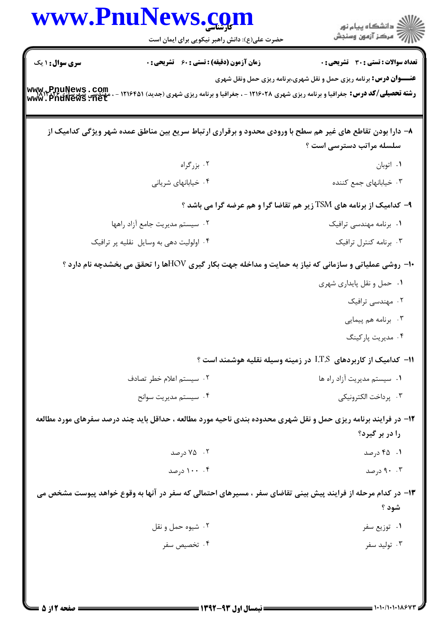| <b>سری سوال :</b> ۱ یک<br>www.PnuNews.com | حضرت علی(ع): دانش راهبر نیکویی برای ایمان است<br><b>زمان آزمون (دقیقه) : تستی : 60 ٪ تشریحی : 0</b><br><b>رشته تحصیلی/کد درس:</b> جغرافیا و برنامه ریزی شهری ۱۲۱۶۰۲۸ - ، جغرافیا و برنامه ریزی شهری (جدید) ۱۲۱۶۴۵۱ -<br>۸– دارا بودن تقاطع های غیر هم سطح با ورودی محدود و برقراری ارتباط سریع بین مناطق عمده شهر ویژگی کدامیک از | ِ<br>∭ دانشڪاه پيام نور<br>∭ مرڪز آزمون وسنڊش<br>تعداد سوالات : تستى : 30 قشريحى : 0<br><b>عنـــوان درس:</b> برنامه ریزی حمل و نقل شهری،برنامه ریزی حمل ونقل شهری |
|-------------------------------------------|-----------------------------------------------------------------------------------------------------------------------------------------------------------------------------------------------------------------------------------------------------------------------------------------------------------------------------------|-------------------------------------------------------------------------------------------------------------------------------------------------------------------|
|                                           |                                                                                                                                                                                                                                                                                                                                   |                                                                                                                                                                   |
|                                           |                                                                                                                                                                                                                                                                                                                                   |                                                                                                                                                                   |
|                                           |                                                                                                                                                                                                                                                                                                                                   |                                                                                                                                                                   |
|                                           |                                                                                                                                                                                                                                                                                                                                   |                                                                                                                                                                   |
|                                           | ۰۲ بزرگراه                                                                                                                                                                                                                                                                                                                        | سلسله مراتب دسترسی است ؟                                                                                                                                          |
|                                           | ۰۴ خیابانهای شریانی                                                                                                                                                                                                                                                                                                               | ۰۱ اتوبان<br>۰۳ خیابانهای جمع کننده                                                                                                                               |
|                                           |                                                                                                                                                                                                                                                                                                                                   |                                                                                                                                                                   |
|                                           |                                                                                                                                                                                                                                                                                                                                   | ۹- کدامیک از برنامه های TSM زیر هم تقاضا گرا و هم عرضه گرا می باشد ؟                                                                                              |
|                                           | ٠٢ سيستم مديريت جامع آزاد راهها                                                                                                                                                                                                                                                                                                   | ٠١. برنامه مهندسی ترافیک                                                                                                                                          |
|                                           | ۰۴ اولولیت دهی به وسایل نقلیه پر ترافیک                                                                                                                                                                                                                                                                                           | ۰۳ برنامه كنترل ترافيك                                                                                                                                            |
|                                           | <b>∙۱- روشی عملیاتی و سازمانی که نیاز به حمایت و مداخله جهت بکار گیری HOVطا را تحقق می بخشدچه نام دارد ؟</b>                                                                                                                                                                                                                      |                                                                                                                                                                   |
|                                           |                                                                                                                                                                                                                                                                                                                                   | ۰۱ حمل و نقل پایداری شهری                                                                                                                                         |
|                                           |                                                                                                                                                                                                                                                                                                                                   | ۰۲ مهندسی ترافیک                                                                                                                                                  |
|                                           |                                                                                                                                                                                                                                                                                                                                   | ۰۳ برنامه هم پیمایی                                                                                                                                               |
|                                           |                                                                                                                                                                                                                                                                                                                                   | ۰۴ مدیریت پارکینگ                                                                                                                                                 |
|                                           |                                                                                                                                                                                                                                                                                                                                   | ۱۱− کدامیک از کاربردهای I.T.S در زمینه وسیله نقلیه هوشمند است ؟                                                                                                   |
|                                           | ۰۲ سیستم اعلام خطر تصادف                                                                                                                                                                                                                                                                                                          | ٠١ سيستم مديريت آزاد راه ها                                                                                                                                       |
|                                           | ۰۴ سیستم مدیریت سوانح                                                                                                                                                                                                                                                                                                             | ۰۳ پرداخت الکترونیکی                                                                                                                                              |
|                                           | <b>۱۲</b> - در فرایند برنامه ریزی حمل و نقل شهری محدوده بندی ناحیه مورد مطالعه ، حداقل باید چند درصد سفرهای مورد مطالعه                                                                                                                                                                                                           |                                                                                                                                                                   |
|                                           |                                                                                                                                                                                                                                                                                                                                   | را در بر گیرد؟                                                                                                                                                    |
|                                           | ۰۲ - ۷۵ درصد                                                                                                                                                                                                                                                                                                                      | ۰۱ درصد                                                                                                                                                           |
|                                           | ۰۰ . ۱۰۰ درصد                                                                                                                                                                                                                                                                                                                     | ۰. ۹۰ درصد                                                                                                                                                        |
|                                           | ۱۳- در کدام مرحله از فرایند پیش بینی تقاضای سفر ، مسیرهای احتمالی که سفر در آنها به وقوع خواهد پیوست مشخص می                                                                                                                                                                                                                      |                                                                                                                                                                   |
|                                           |                                                                                                                                                                                                                                                                                                                                   | شود ؟                                                                                                                                                             |
|                                           | ۰۲ شيوه حمل و نقل                                                                                                                                                                                                                                                                                                                 | ۰۱ توزیع سفر                                                                                                                                                      |
|                                           | ۰۴ تخصیص سفر                                                                                                                                                                                                                                                                                                                      | ۰۳ تولید سفر                                                                                                                                                      |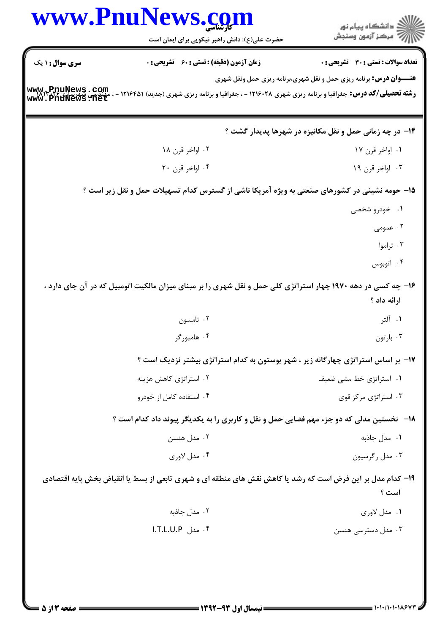| www.PnuNews.com        |                                                                                                                 | انشگاه پيام نور)<br>اسرکز آزمون وسنجش                                     |  |
|------------------------|-----------------------------------------------------------------------------------------------------------------|---------------------------------------------------------------------------|--|
|                        | حضرت علی(ع): دانش راهبر نیکویی برای ایمان است                                                                   |                                                                           |  |
| <b>سری سوال :</b> ۱ یک | <b>زمان آزمون (دقیقه) : تستی : 60 ٪ تشریحی : 0</b>                                                              | تعداد سوالات : تستى : 30 - تشريحي : 0                                     |  |
| www.PnuNews.com        | <b>رشته تحصیلی/کد درس:</b> جغرافیا و برنامه ریزی شهری ۱۲۱۶۰۲۸ - ، جغرافیا و برنامه ریزی شهری (جدید) ۱۲۱۶۴۵۱ - ، | <b>عنـــوان درس:</b> برنامه ریزی حمل و نقل شهری،برنامه ریزی حمل ونقل شهری |  |
|                        |                                                                                                                 | ۱۴- در چه زمانی حمل و نقل مکانیزه در شهرها پدیدار گشت ؟                   |  |
|                        | ۰۲ اواخر قرن ۱۸                                                                                                 | ۰۱ اواخر قرن ۱۷                                                           |  |
|                        | ۰۴ اواخر قرن ۲۰                                                                                                 | ۰۳ اواخر قرن ۱۹                                                           |  |
|                        | ۱۵- حومه نشینی در کشورهای صنعتی به ویژه آمریکا ناشی از گسترس کدام تسهیلات حمل و نقل زیر است ؟                   |                                                                           |  |
|                        |                                                                                                                 | ۰۱ خودرو شخصی                                                             |  |
|                        |                                                                                                                 | ۰۲ عمومی                                                                  |  |
|                        |                                                                                                                 | ۰۳ تراموا                                                                 |  |
|                        |                                                                                                                 | ۰۴ اتوبوس                                                                 |  |
|                        | ۱۶- چه کسی در دهه ۱۹۷۰ چهار استراتژی کلی حمل و نقل شهری را بر مبنای میزان مالکیت اتومبیل که در آن جای دارد ،    | ارائه داد ؟                                                               |  |
|                        | ۰۲ تامسون                                                                                                       | ۰۱ آلتر                                                                   |  |
|                        | ۰۴ هامبورگر                                                                                                     | ۰۳ بارتون                                                                 |  |
|                        | ۱۷– بر اساس استراتژی چهارگانه زیر ، شهر بوستون به کدام استراتژی بیشتر نزدیک است ؟                               |                                                                           |  |
|                        | ۰۲ استراتژی کاهش هزینه                                                                                          | ٠١. استراتژى خط مشى ضعيف                                                  |  |
|                        | ۰۴ استفاده کامل از خودرو                                                                                        | ۰۳ استراتژی مرکز قوی                                                      |  |
|                        | <b>۱۸</b> -   نخستین مدلی که دو جزء مهم فضایی حمل و نقل و کاربری را به یکدیگر پیوند داد کدام است ؟              |                                                                           |  |
|                        | ۰۲ مدل هنسن                                                                                                     | ۰۱ مدل جاذبه                                                              |  |
|                        | ۰۴ مدل لاوری                                                                                                    | ۰۳ مدل رگرسیون                                                            |  |
|                        | ۱۹- کدام مدل بر این فرض است که رشد یا کاهش نقش های منطقه ای و شهری تابعی از بسط یا انقباض بخش پایه اقتصادی      | است ؟                                                                     |  |
|                        | ۰۲ مدل جاذبه                                                                                                    | ۰۱ مدل لاوری                                                              |  |
|                        | ۰۴ مدل I.T.L.U.P                                                                                                | ۰۳ مدل دسترسی هنسن                                                        |  |
|                        |                                                                                                                 |                                                                           |  |
|                        |                                                                                                                 |                                                                           |  |
|                        |                                                                                                                 |                                                                           |  |
|                        |                                                                                                                 |                                                                           |  |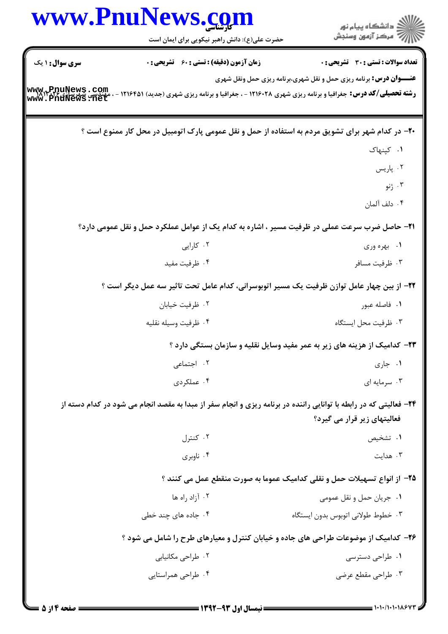|                                                                          | www.PnuNews.com<br>حضرت علی(ع): دانش راهبر نیکویی برای ایمان است                                                  | ڪ دانشڪاه پيام نور<br>7- مرڪز آزمون وسنڊش                                         |
|--------------------------------------------------------------------------|-------------------------------------------------------------------------------------------------------------------|-----------------------------------------------------------------------------------|
| <b>سری سوال :</b> ۱ یک                                                   | <b>زمان آزمون (دقیقه) : تستی : 60 گشریحی : 0</b>                                                                  | <b>تعداد سوالات : تستی : 30 ٪ تشریحی : 0</b>                                      |
| www.+PnuNews.com<br>www.PnuNews.net                                      | <b>رشته تحصیلی/کد درس:</b> جغرافیا و برنامه ریزی شهری ۱۲۱۶۰۲۸ - ، جغرافیا و برنامه ریزی شهری (جدید) ۱۲۱۶۴۵۱       | <b>عنـــوان درس:</b> برنامه ریزی حمل و نقل شهری،برنامه ریزی حمل ونقل شهری         |
|                                                                          | +۲- در کدام شهر برای تشویق مردم به استفاده از حمل و نقل عمومی پارک اتومبیل در محل کار ممنوع است ؟                 |                                                                                   |
|                                                                          |                                                                                                                   | ٠١. کپنهاک                                                                        |
|                                                                          |                                                                                                                   | ۰۲ پاریس                                                                          |
|                                                                          |                                                                                                                   | ۰۳ ژنو                                                                            |
|                                                                          |                                                                                                                   | ۰۴ دلف آلمان                                                                      |
|                                                                          | <b>۲۱</b> - حاصل ضرب سرعت عملی در ظرفیت مسیر ، اشاره به کدام یک از عوامل عملکرد حمل و نقل عمومی دارد؟             |                                                                                   |
|                                                                          | ۰۲ کارایی                                                                                                         | ۰۱ بهره وری                                                                       |
|                                                                          | ۰۴ ظرفيت مفيد                                                                                                     | ۰۳ ظرفیت مسافر                                                                    |
|                                                                          | ۲۲– از بین چهار عامل توازن ظرفیت یک مسیر اتوبوسرانی، کدام عامل تحت تاثیر سه عمل دیگر است ؟                        |                                                                                   |
|                                                                          | ۰۲ ظرفیت خیابان                                                                                                   | ۰۱ فاصله عبور                                                                     |
|                                                                          | ۰۴ ظرفيت وسيله نقليه                                                                                              | ۰۳ ظرفیت محل ایستگاه                                                              |
|                                                                          |                                                                                                                   | <b>۲۳</b> - کدامیک از هزینه های زیر به عمر مفید وسایل نقلیه و سازمان بستگی دارد ؟ |
|                                                                          | ۰۲ اجتما <i>عی</i>                                                                                                | ۰۱ جاری                                                                           |
|                                                                          | ۰۴ عملکردی                                                                                                        | ۰۳ سرمایه ای                                                                      |
|                                                                          | ۲۴- فعالیتی که در رابطه با توانایی راننده در برنامه ریزی و انجام سفر از مبدا به مقصد انجام می شود در کدام دسته از | فعالیتهای زیر قرار می گیرد؟                                                       |
|                                                                          | ۰۲ کنترل                                                                                                          | ۰۱ تشخیص                                                                          |
|                                                                          | ۰۴ ناوبري                                                                                                         | ۰۳ هدایت                                                                          |
| ۲۵- از انواع تسهیلات حمل و نقلی کدامیک عموما به صورت منقطع عمل می کنند ؟ |                                                                                                                   |                                                                                   |
|                                                                          | ۰۲ آزاد راه ها                                                                                                    | ۰۱ جريان حمل و نقل عمومي                                                          |
|                                                                          | ۰۴ جاده های چند خطی                                                                                               | ۰۳ خطوط طولانی اتوبوس بدون ایستگاه                                                |
|                                                                          | ۲۶- کدامیک از موضوعات طراحی های جاده و خیابان کنترل و معیارهای طرح را شامل می شود ؟                               |                                                                                   |
|                                                                          | ۰۲ طراحی مکانیابی                                                                                                 | ۰۱ طراحی دسترسی                                                                   |
|                                                                          | ۰۴ طراحی همراستایی                                                                                                | ۰۳ طراحی مقطع عرضی                                                                |
|                                                                          |                                                                                                                   |                                                                                   |